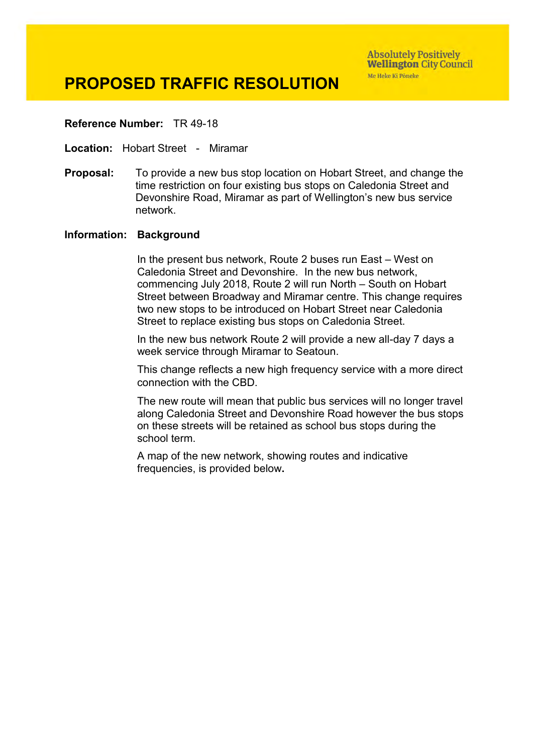#### **Reference Number:** TR 49-18

**Location:** Hobart Street - Miramar

**Proposal:** To provide a new bus stop location on Hobart Street, and change the time restriction on four existing bus stops on Caledonia Street and Devonshire Road, Miramar as part of Wellington's new bus service network.

#### **Information: Background**

In the present bus network, Route 2 buses run East – West on Caledonia Street and Devonshire. In the new bus network, commencing July 2018, Route 2 will run North – South on Hobart Street between Broadway and Miramar centre. This change requires two new stops to be introduced on Hobart Street near Caledonia Street to replace existing bus stops on Caledonia Street.

In the new bus network Route 2 will provide a new all-day 7 days a week service through Miramar to Seatoun.

This change reflects a new high frequency service with a more direct connection with the CBD.

The new route will mean that public bus services will no longer travel along Caledonia Street and Devonshire Road however the bus stops on these streets will be retained as school bus stops during the school term.

A map of the new network, showing routes and indicative frequencies, is provided below**.**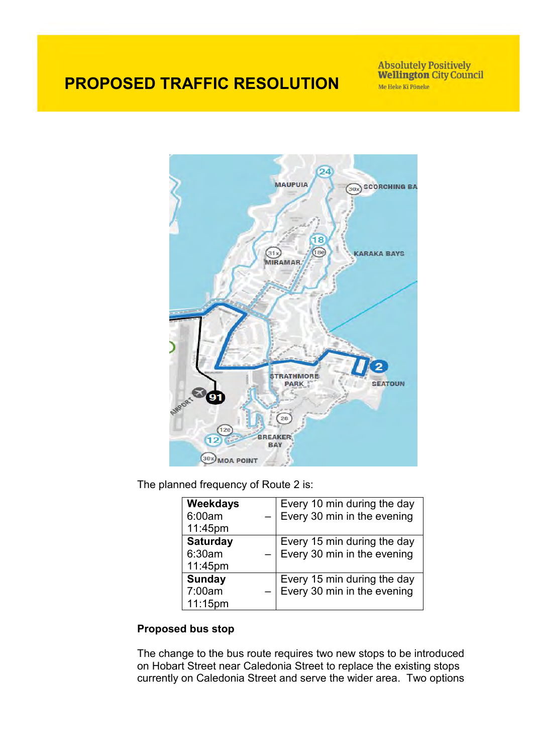Absolutely Positively<br>Wellington City Council Me Heke Ki Põneke



The planned frequency of Route 2 is:

| Weekdays        |                                                            |
|-----------------|------------------------------------------------------------|
| 6:00am          | Every 10 min during the day<br>Every 30 min in the evening |
| 11:45pm         |                                                            |
| <b>Saturday</b> |                                                            |
| 6:30am          | Every 15 min during the day<br>Every 30 min in the evening |
| 11:45pm         |                                                            |
| <b>Sunday</b>   | Every 15 min during the day<br>Every 30 min in the evening |
| 7:00am          |                                                            |
| 11:15pm         |                                                            |

## **Proposed bus stop**

The change to the bus route requires two new stops to be introduced on Hobart Street near Caledonia Street to replace the existing stops currently on Caledonia Street and serve the wider area. Two options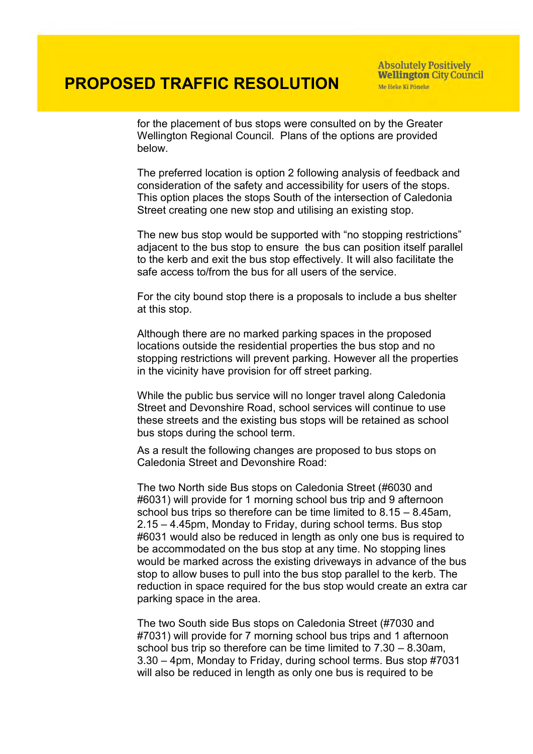**Absolutely Positively Wellington City Council** Me Heke Ki Põneke

for the placement of bus stops were consulted on by the Greater Wellington Regional Council. Plans of the options are provided below.

The preferred location is option 2 following analysis of feedback and consideration of the safety and accessibility for users of the stops. This option places the stops South of the intersection of Caledonia Street creating one new stop and utilising an existing stop.

The new bus stop would be supported with "no stopping restrictions" adjacent to the bus stop to ensure the bus can position itself parallel to the kerb and exit the bus stop effectively. It will also facilitate the safe access to/from the bus for all users of the service.

For the city bound stop there is a proposals to include a bus shelter at this stop.

Although there are no marked parking spaces in the proposed locations outside the residential properties the bus stop and no stopping restrictions will prevent parking. However all the properties in the vicinity have provision for off street parking.

While the public bus service will no longer travel along Caledonia Street and Devonshire Road, school services will continue to use these streets and the existing bus stops will be retained as school bus stops during the school term.

As a result the following changes are proposed to bus stops on Caledonia Street and Devonshire Road:

The two North side Bus stops on Caledonia Street (#6030 and #6031) will provide for 1 morning school bus trip and 9 afternoon school bus trips so therefore can be time limited to 8.15 – 8.45am, 2.15 – 4.45pm, Monday to Friday, during school terms. Bus stop #6031 would also be reduced in length as only one bus is required to be accommodated on the bus stop at any time. No stopping lines would be marked across the existing driveways in advance of the bus stop to allow buses to pull into the bus stop parallel to the kerb. The reduction in space required for the bus stop would create an extra car parking space in the area.

The two South side Bus stops on Caledonia Street (#7030 and #7031) will provide for 7 morning school bus trips and 1 afternoon school bus trip so therefore can be time limited to 7.30 – 8.30am, 3.30 – 4pm, Monday to Friday, during school terms. Bus stop #7031 will also be reduced in length as only one bus is required to be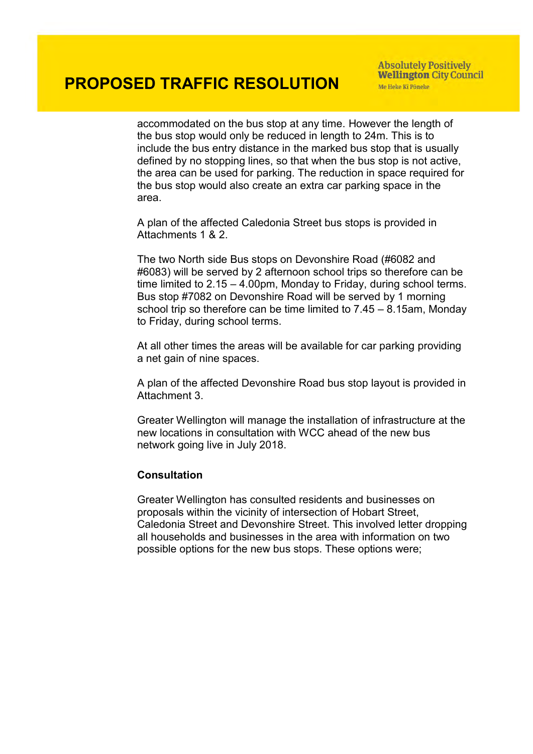accommodated on the bus stop at any time. However the length of the bus stop would only be reduced in length to 24m. This is to include the bus entry distance in the marked bus stop that is usually defined by no stopping lines, so that when the bus stop is not active, the area can be used for parking. The reduction in space required for the bus stop would also create an extra car parking space in the area.

A plan of the affected Caledonia Street bus stops is provided in Attachments 1 & 2.

The two North side Bus stops on Devonshire Road (#6082 and #6083) will be served by 2 afternoon school trips so therefore can be time limited to 2.15 – 4.00pm, Monday to Friday, during school terms. Bus stop #7082 on Devonshire Road will be served by 1 morning school trip so therefore can be time limited to 7.45 – 8.15am, Monday to Friday, during school terms.

At all other times the areas will be available for car parking providing a net gain of nine spaces.

A plan of the affected Devonshire Road bus stop layout is provided in Attachment 3.

Greater Wellington will manage the installation of infrastructure at the new locations in consultation with WCC ahead of the new bus network going live in July 2018.

### **Consultation**

Greater Wellington has consulted residents and businesses on proposals within the vicinity of intersection of Hobart Street, Caledonia Street and Devonshire Street. This involved letter dropping all households and businesses in the area with information on two possible options for the new bus stops. These options were;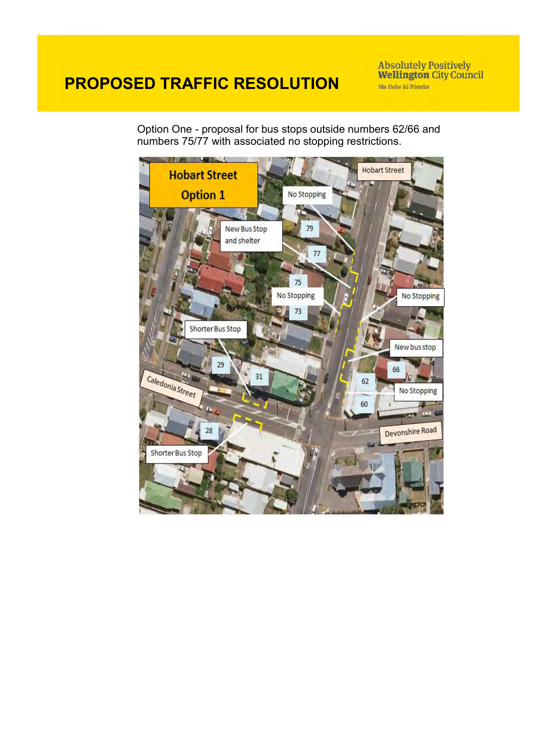**Absolutely Positively<br>Wellington City Council** Me Heke Ki Põneke

Option One - proposal for bus stops outside numbers 62/66 and numbers 75/77 with associated no stopping restrictions.

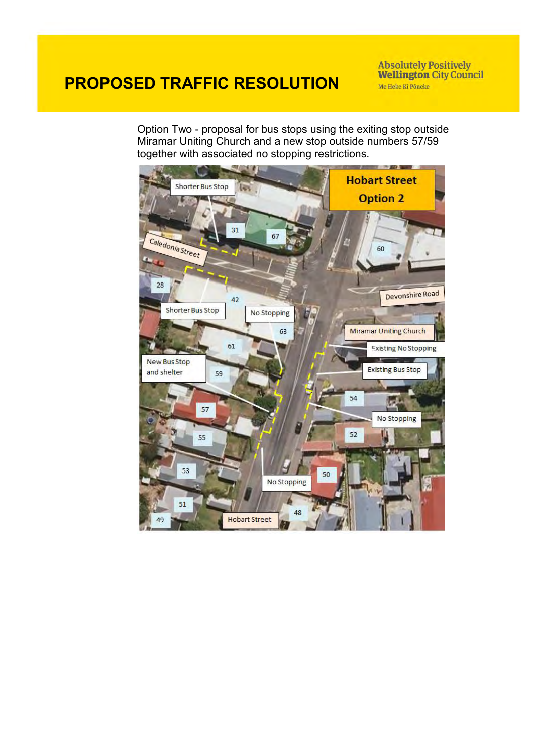**Absolutely Positively<br>Wellington City Council** Me Heke Ki Põneke

Option Two - proposal for bus stops using the exiting stop outside Miramar Uniting Church and a new stop outside numbers 57/59 together with associated no stopping restrictions.

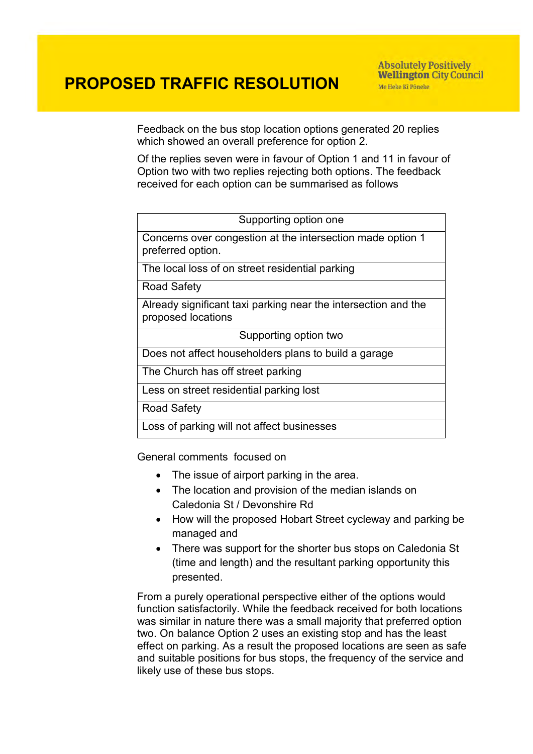Feedback on the bus stop location options generated 20 replies which showed an overall preference for option 2.

Of the replies seven were in favour of Option 1 and 11 in favour of Option two with two replies rejecting both options. The feedback received for each option can be summarised as follows

| Supporting option one                                                                |  |
|--------------------------------------------------------------------------------------|--|
| Concerns over congestion at the intersection made option 1<br>preferred option.      |  |
| The local loss of on street residential parking                                      |  |
| Road Safety                                                                          |  |
| Already significant taxi parking near the intersection and the<br>proposed locations |  |
| Supporting option two                                                                |  |
| Does not affect householders plans to build a garage                                 |  |
| The Church has off street parking                                                    |  |
| Less on street residential parking lost                                              |  |
| <b>Road Safety</b>                                                                   |  |
| Loss of parking will not affect businesses                                           |  |

General comments focused on

- The issue of airport parking in the area.
- The location and provision of the median islands on Caledonia St / Devonshire Rd
- How will the proposed Hobart Street cycleway and parking be managed and
- There was support for the shorter bus stops on Caledonia St (time and length) and the resultant parking opportunity this presented.

From a purely operational perspective either of the options would function satisfactorily. While the feedback received for both locations was similar in nature there was a small majority that preferred option two. On balance Option 2 uses an existing stop and has the least effect on parking. As a result the proposed locations are seen as safe and suitable positions for bus stops, the frequency of the service and likely use of these bus stops.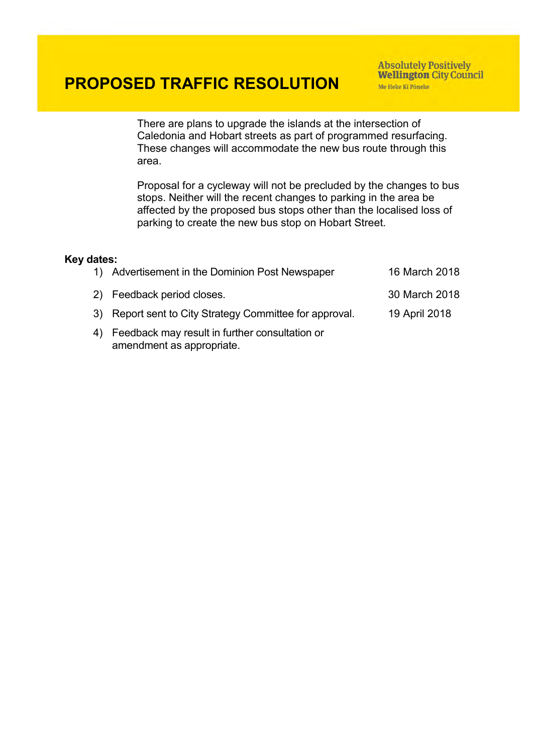**Absolutely Positively Wellington City Council** Me Heke Ki Pôneke

There are plans to upgrade the islands at the intersection of Caledonia and Hobart streets as part of programmed resurfacing. These changes will accommodate the new bus route through this area.

Proposal for a cycleway will not be precluded by the changes to bus stops. Neither will the recent changes to parking in the area be affected by the proposed bus stops other than the localised loss of parking to create the new bus stop on Hobart Street.

#### **Key dates:**

| 1) Advertisement in the Dominion Post Newspaper         | 16 March 2018 |
|---------------------------------------------------------|---------------|
| 2) Feedback period closes.                              | 30 March 2018 |
| 3) Report sent to City Strategy Committee for approval. | 19 April 2018 |
| 4) Feedback may result in further consultation or       |               |

amendment as appropriate.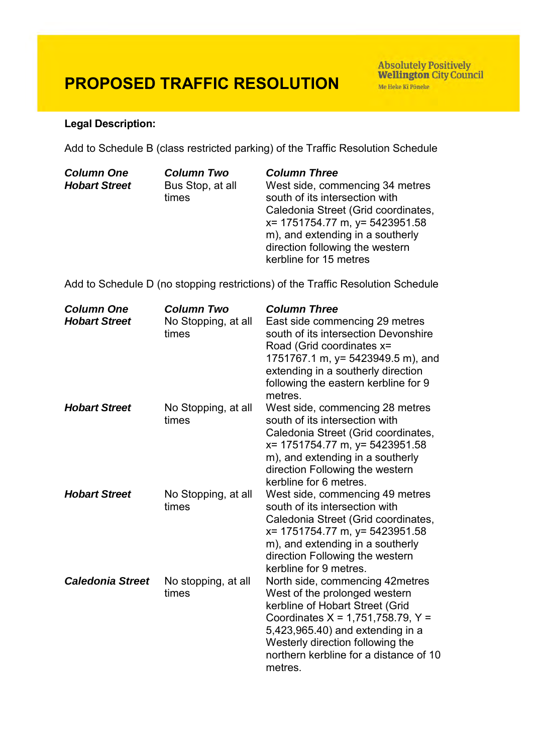Absolutely Positively<br>Wellington City Council Me Heke Ki Põneke

## **Legal Description:**

Add to Schedule B (class restricted parking) of the Traffic Resolution Schedule

| <b>Column Two</b> | <b>Column Three</b>                 |
|-------------------|-------------------------------------|
| Bus Stop, at all  | West side, commencing 34 metres     |
| times             | south of its intersection with      |
|                   | Caledonia Street (Grid coordinates, |
|                   | x= 1751754.77 m, y= 5423951.58      |
|                   | m), and extending in a southerly    |
|                   | direction following the western     |
|                   | kerbline for 15 metres              |
|                   |                                     |

Add to Schedule D (no stopping restrictions) of the Traffic Resolution Schedule

| <b>Column One</b><br><b>Hobart Street</b> | <b>Column Two</b><br>No Stopping, at all<br>times | <b>Column Three</b><br>East side commencing 29 metres<br>south of its intersection Devonshire<br>Road (Grid coordinates x=<br>1751767.1 m, y= 5423949.5 m), and<br>extending in a southerly direction<br>following the eastern kerbline for 9<br>metres.                |
|-------------------------------------------|---------------------------------------------------|-------------------------------------------------------------------------------------------------------------------------------------------------------------------------------------------------------------------------------------------------------------------------|
| <b>Hobart Street</b>                      | No Stopping, at all<br>times                      | West side, commencing 28 metres<br>south of its intersection with<br>Caledonia Street (Grid coordinates,<br>x= 1751754.77 m, y= 5423951.58<br>m), and extending in a southerly<br>direction Following the western<br>kerbline for 6 metres.                             |
| <b>Hobart Street</b>                      | No Stopping, at all<br>times                      | West side, commencing 49 metres<br>south of its intersection with<br>Caledonia Street (Grid coordinates,<br>x= 1751754.77 m, y= 5423951.58<br>m), and extending in a southerly<br>direction Following the western<br>kerbline for 9 metres.                             |
| <b>Caledonia Street</b>                   | No stopping, at all<br>times                      | North side, commencing 42metres<br>West of the prolonged western<br>kerbline of Hobart Street (Grid<br>Coordinates $X = 1,751,758.79, Y =$<br>5,423,965.40) and extending in a<br>Westerly direction following the<br>northern kerbline for a distance of 10<br>metres. |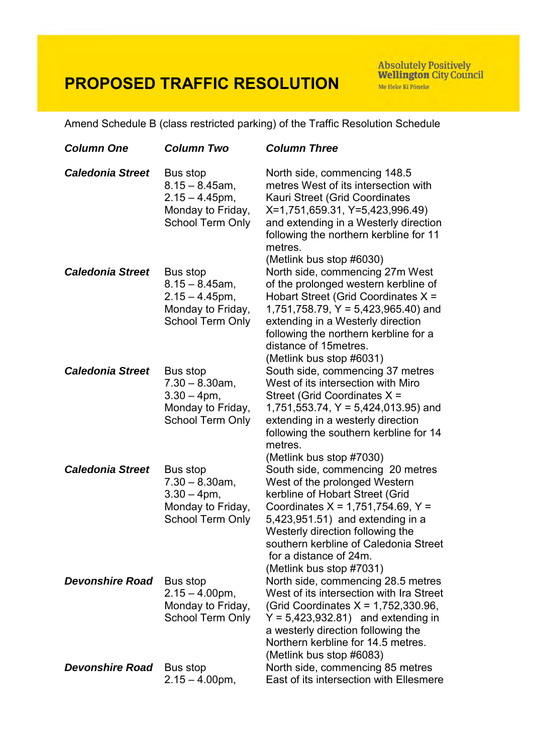Absolutely Positively<br>Wellington City Council Me Heke Ki Põneke

Amend Schedule B (class restricted parking) of the Traffic Resolution Schedule

| <b>Column One</b>       | <b>Column Two</b>                                                                                  | <b>Column Three</b>                                                                                                                                                                                                                                                                                                |
|-------------------------|----------------------------------------------------------------------------------------------------|--------------------------------------------------------------------------------------------------------------------------------------------------------------------------------------------------------------------------------------------------------------------------------------------------------------------|
| <b>Caledonia Street</b> | Bus stop<br>$8.15 - 8.45$ am,<br>$2.15 - 4.45$ pm,<br>Monday to Friday,<br>School Term Only        | North side, commencing 148.5<br>metres West of its intersection with<br>Kauri Street (Grid Coordinates<br>X=1,751,659.31, Y=5,423,996.49)<br>and extending in a Westerly direction<br>following the northern kerbline for 11<br>metres.<br>(Metlink bus stop #6030)                                                |
| <b>Caledonia Street</b> | Bus stop<br>$8.15 - 8.45$ am,<br>$2.15 - 4.45$ pm,<br>Monday to Friday,<br><b>School Term Only</b> | North side, commencing 27m West<br>of the prolonged western kerbline of<br>Hobart Street (Grid Coordinates X =<br>$1,751,758.79, Y = 5,423,965.40$ ) and<br>extending in a Westerly direction<br>following the northern kerbline for a<br>distance of 15 metres.<br>(Metlink bus stop #6031)                       |
| <b>Caledonia Street</b> | Bus stop<br>$7.30 - 8.30$ am,<br>$3.30 - 4pm,$<br>Monday to Friday,<br>School Term Only            | South side, commencing 37 metres<br>West of its intersection with Miro<br>Street (Grid Coordinates X =<br>$1,751,553.74$ , $Y = 5,424,013.95$ ) and<br>extending in a westerly direction<br>following the southern kerbline for 14<br>metres.<br>(Metlink bus stop #7030)                                          |
| <b>Caledonia Street</b> | Bus stop<br>$7.30 - 8.30$ am,<br>$3.30 - 4 \text{pm}$ ,<br>Monday to Friday,<br>School Term Only   | South side, commencing 20 metres<br>West of the prolonged Western<br>kerbline of Hobart Street (Grid<br>Coordinates $X = 1,751,754.69, Y =$<br>5,423,951.51) and extending in a<br>Westerly direction following the<br>southern kerbline of Caledonia Street<br>for a distance of 24m.<br>(Metlink bus stop #7031) |
| <b>Devonshire Road</b>  | Bus stop<br>$2.15 - 4.00$ pm,<br>Monday to Friday,<br><b>School Term Only</b>                      | North side, commencing 28.5 metres<br>West of its intersection with Ira Street<br>(Grid Coordinates $X = 1,752,330.96$ ,<br>$Y = 5,423,932.81$ and extending in<br>a westerly direction following the<br>Northern kerbline for 14.5 metres.<br>(Metlink bus stop #6083)                                            |
| <b>Devonshire Road</b>  | Bus stop<br>$2.15 - 4.00$ pm,                                                                      | North side, commencing 85 metres<br>East of its intersection with Ellesmere                                                                                                                                                                                                                                        |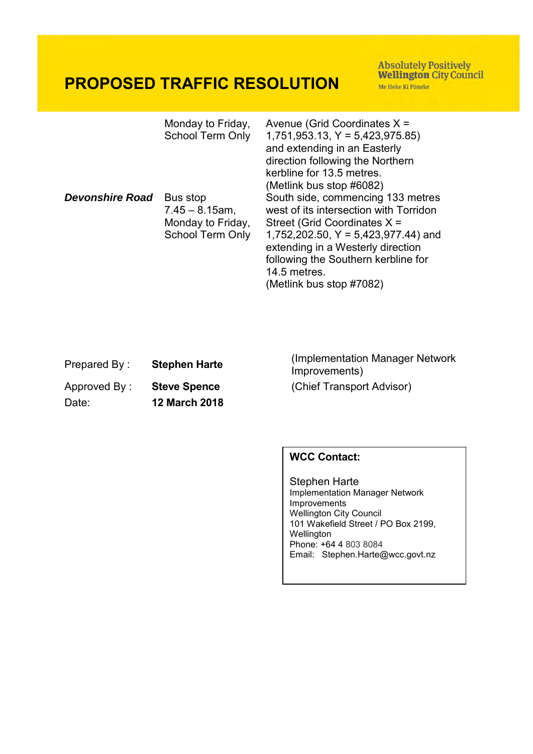Absolutely Positively<br>Wellington City Council Me Heke Ki Pôneke

|                        | Monday to Friday,<br><b>School Term Only</b>                                  | Avenue (Grid Coordinates $X =$<br>$1,751,953.13, Y = 5,423,975.85$<br>and extending in an Easterly<br>direction following the Northern<br>kerbline for 13.5 metres.<br>(Metlink bus stop #6082)                                                                               |
|------------------------|-------------------------------------------------------------------------------|-------------------------------------------------------------------------------------------------------------------------------------------------------------------------------------------------------------------------------------------------------------------------------|
| <b>Devonshire Road</b> | Bus stop<br>$7.45 - 8.15$ am,<br>Monday to Friday,<br><b>School Term Only</b> | South side, commencing 133 metres<br>west of its intersection with Torridon<br>Street (Grid Coordinates X =<br>1,752,202.50, $Y = 5,423,977.44$ ) and<br>extending in a Westerly direction<br>following the Southern kerbline for<br>14.5 metres.<br>(Metlink bus stop #7082) |

| Prepared By: | <b>Stephen Harte</b> |
|--------------|----------------------|
| Approved By: | <b>Steve Spence</b>  |
| Date:        | <b>12 March 2018</b> |

Prepared By : **Stephen Harte** (Implementation Manager Network Improvements) (Chief Transport Advisor)

## **WCC Contact:**

Stephen Harte Implementation Manager Network Improvements Wellington City Council 101 Wakefield Street / PO Box 2199, Wellington Phone: +64 4 803 8084 Email: Stephen.Harte@wcc.govt.nz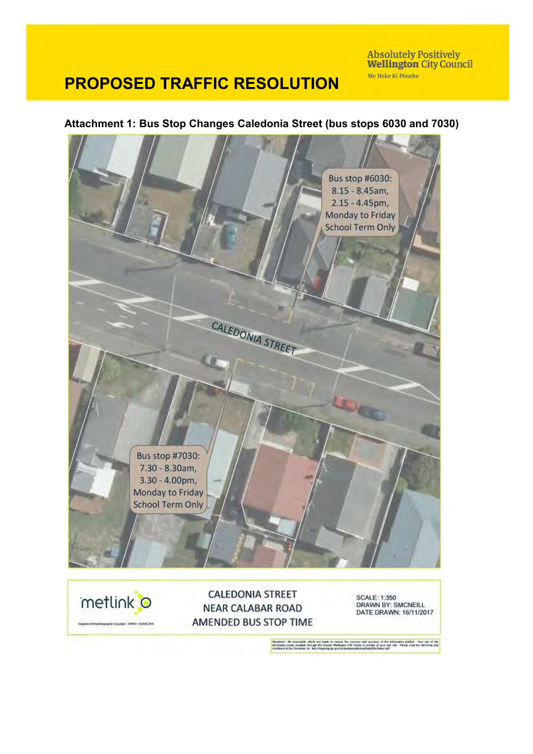Absolutely Positively<br>Wellington City Council Me Heke Ki Põneke

# **PROPOSED TRAFFIC RESOLUTION**

### **Attachment 1: Bus Stop Changes Caledonia Street (bus stops 6030 and 7030)**



AMENDED BUS STOP TIME

Note Copyright CRIVIC INDIAN 2016

or. All kissonate chick are made to senior the curricity and sculptcy of the internation priced. Your use of the<br>So reads available through the Chicker Wellington call Young in entirely at your cost. If your meditie tellis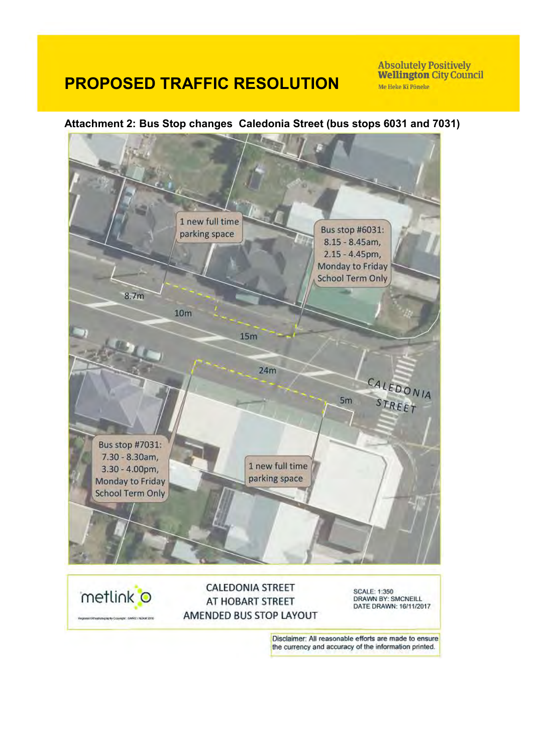Absolutely Positively<br>Wellington City Council Me Heke Ki Põneke

## **Attachment 2: Bus Stop changes Caledonia Street (bus stops 6031 and 7031)**



Disclaimer: All reasonable efforts are made to ensure the currency and accuracy of the information printed.